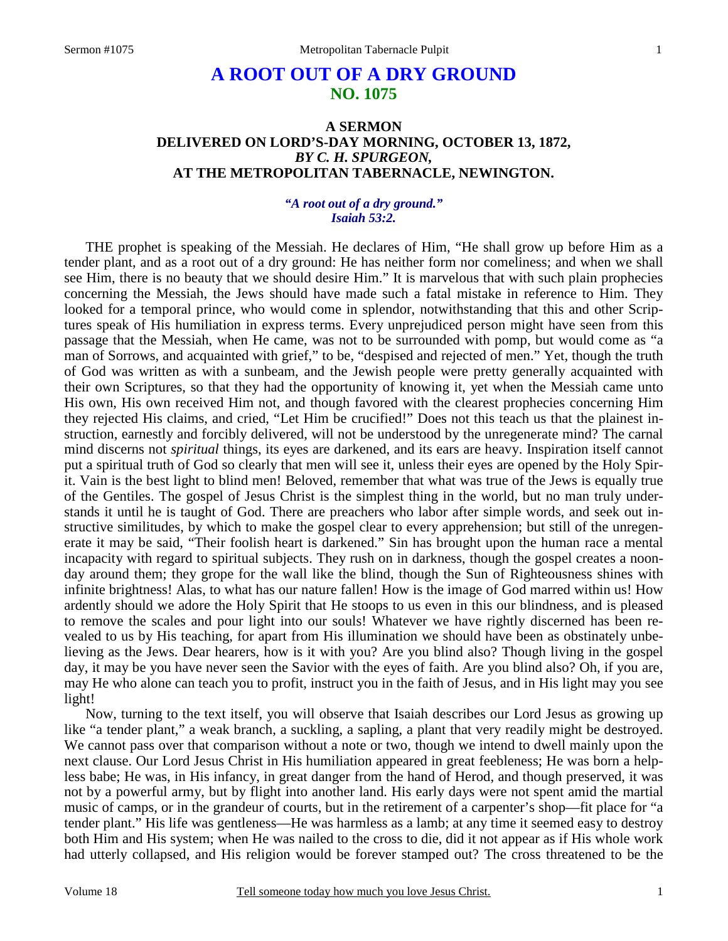# **A ROOT OUT OF A DRY GROUND NO. 1075**

# **A SERMON DELIVERED ON LORD'S-DAY MORNING, OCTOBER 13, 1872,**  *BY C. H. SPURGEON,*  **AT THE METROPOLITAN TABERNACLE, NEWINGTON.**

*"A root out of a dry ground." Isaiah 53:2.* 

THE prophet is speaking of the Messiah. He declares of Him, "He shall grow up before Him as a tender plant, and as a root out of a dry ground: He has neither form nor comeliness; and when we shall see Him, there is no beauty that we should desire Him." It is marvelous that with such plain prophecies concerning the Messiah, the Jews should have made such a fatal mistake in reference to Him. They looked for a temporal prince, who would come in splendor, notwithstanding that this and other Scriptures speak of His humiliation in express terms. Every unprejudiced person might have seen from this passage that the Messiah, when He came, was not to be surrounded with pomp, but would come as "a man of Sorrows, and acquainted with grief," to be, "despised and rejected of men." Yet, though the truth of God was written as with a sunbeam, and the Jewish people were pretty generally acquainted with their own Scriptures, so that they had the opportunity of knowing it, yet when the Messiah came unto His own, His own received Him not, and though favored with the clearest prophecies concerning Him they rejected His claims, and cried, "Let Him be crucified!" Does not this teach us that the plainest instruction, earnestly and forcibly delivered, will not be understood by the unregenerate mind? The carnal mind discerns not *spiritual* things, its eyes are darkened, and its ears are heavy. Inspiration itself cannot put a spiritual truth of God so clearly that men will see it, unless their eyes are opened by the Holy Spirit. Vain is the best light to blind men! Beloved, remember that what was true of the Jews is equally true of the Gentiles. The gospel of Jesus Christ is the simplest thing in the world, but no man truly understands it until he is taught of God. There are preachers who labor after simple words, and seek out instructive similitudes, by which to make the gospel clear to every apprehension; but still of the unregenerate it may be said, "Their foolish heart is darkened." Sin has brought upon the human race a mental incapacity with regard to spiritual subjects. They rush on in darkness, though the gospel creates a noonday around them; they grope for the wall like the blind, though the Sun of Righteousness shines with infinite brightness! Alas, to what has our nature fallen! How is the image of God marred within us! How ardently should we adore the Holy Spirit that He stoops to us even in this our blindness, and is pleased to remove the scales and pour light into our souls! Whatever we have rightly discerned has been revealed to us by His teaching, for apart from His illumination we should have been as obstinately unbelieving as the Jews. Dear hearers, how is it with you? Are you blind also? Though living in the gospel day, it may be you have never seen the Savior with the eyes of faith. Are you blind also? Oh, if you are, may He who alone can teach you to profit, instruct you in the faith of Jesus, and in His light may you see light!

Now, turning to the text itself, you will observe that Isaiah describes our Lord Jesus as growing up like "a tender plant," a weak branch, a suckling, a sapling, a plant that very readily might be destroyed. We cannot pass over that comparison without a note or two, though we intend to dwell mainly upon the next clause. Our Lord Jesus Christ in His humiliation appeared in great feebleness; He was born a helpless babe; He was, in His infancy, in great danger from the hand of Herod, and though preserved, it was not by a powerful army, but by flight into another land. His early days were not spent amid the martial music of camps, or in the grandeur of courts, but in the retirement of a carpenter's shop—fit place for "a tender plant." His life was gentleness—He was harmless as a lamb; at any time it seemed easy to destroy both Him and His system; when He was nailed to the cross to die, did it not appear as if His whole work had utterly collapsed, and His religion would be forever stamped out? The cross threatened to be the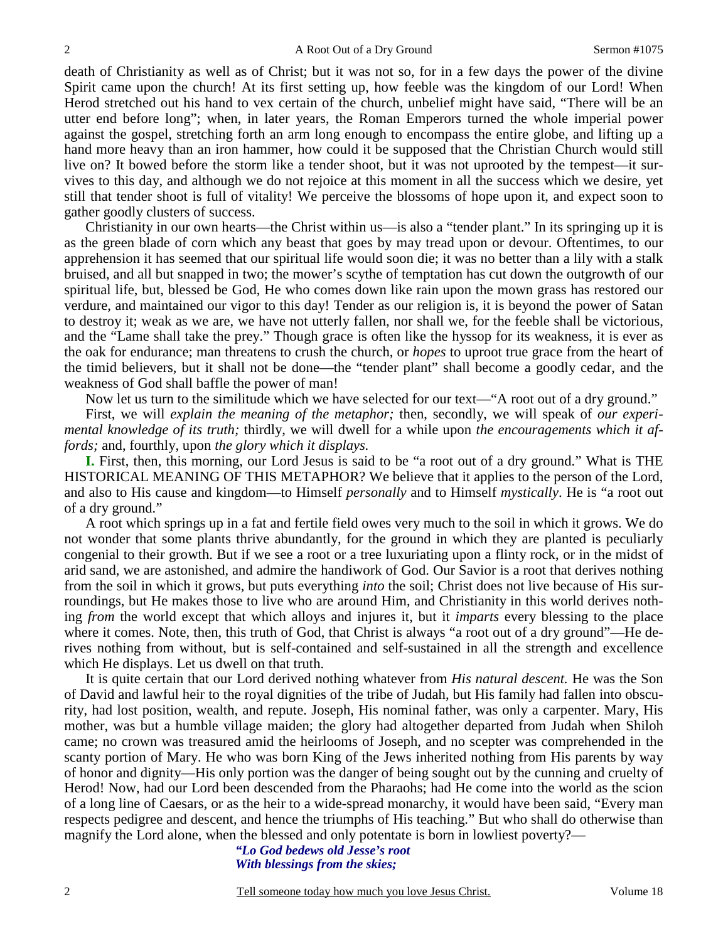death of Christianity as well as of Christ; but it was not so, for in a few days the power of the divine Spirit came upon the church! At its first setting up, how feeble was the kingdom of our Lord! When Herod stretched out his hand to vex certain of the church, unbelief might have said, "There will be an utter end before long"; when, in later years, the Roman Emperors turned the whole imperial power against the gospel, stretching forth an arm long enough to encompass the entire globe, and lifting up a hand more heavy than an iron hammer, how could it be supposed that the Christian Church would still live on? It bowed before the storm like a tender shoot, but it was not uprooted by the tempest—it survives to this day, and although we do not rejoice at this moment in all the success which we desire, yet still that tender shoot is full of vitality! We perceive the blossoms of hope upon it, and expect soon to gather goodly clusters of success.

Christianity in our own hearts—the Christ within us—is also a "tender plant." In its springing up it is as the green blade of corn which any beast that goes by may tread upon or devour. Oftentimes, to our apprehension it has seemed that our spiritual life would soon die; it was no better than a lily with a stalk bruised, and all but snapped in two; the mower's scythe of temptation has cut down the outgrowth of our spiritual life, but, blessed be God, He who comes down like rain upon the mown grass has restored our verdure, and maintained our vigor to this day! Tender as our religion is, it is beyond the power of Satan to destroy it; weak as we are, we have not utterly fallen, nor shall we, for the feeble shall be victorious, and the "Lame shall take the prey." Though grace is often like the hyssop for its weakness, it is ever as the oak for endurance; man threatens to crush the church, or *hopes* to uproot true grace from the heart of the timid believers, but it shall not be done—the "tender plant" shall become a goodly cedar, and the weakness of God shall baffle the power of man!

Now let us turn to the similitude which we have selected for our text—"A root out of a dry ground."

First, we will *explain the meaning of the metaphor*; then, secondly, we will speak of *our experimental knowledge of its truth;* thirdly, we will dwell for a while upon *the encouragements which it affords;* and, fourthly, upon *the glory which it displays.*

**I.** First, then, this morning, our Lord Jesus is said to be "a root out of a dry ground." What is THE HISTORICAL MEANING OF THIS METAPHOR? We believe that it applies to the person of the Lord, and also to His cause and kingdom—to Himself *personally* and to Himself *mystically*. He is "a root out of a dry ground."

A root which springs up in a fat and fertile field owes very much to the soil in which it grows. We do not wonder that some plants thrive abundantly, for the ground in which they are planted is peculiarly congenial to their growth. But if we see a root or a tree luxuriating upon a flinty rock, or in the midst of arid sand, we are astonished, and admire the handiwork of God. Our Savior is a root that derives nothing from the soil in which it grows, but puts everything *into* the soil; Christ does not live because of His surroundings, but He makes those to live who are around Him, and Christianity in this world derives nothing *from* the world except that which alloys and injures it, but it *imparts* every blessing to the place where it comes. Note, then, this truth of God, that Christ is always "a root out of a dry ground"—He derives nothing from without, but is self-contained and self-sustained in all the strength and excellence which He displays. Let us dwell on that truth.

It is quite certain that our Lord derived nothing whatever from *His natural descent.* He was the Son of David and lawful heir to the royal dignities of the tribe of Judah, but His family had fallen into obscurity, had lost position, wealth, and repute. Joseph, His nominal father, was only a carpenter. Mary, His mother, was but a humble village maiden; the glory had altogether departed from Judah when Shiloh came; no crown was treasured amid the heirlooms of Joseph, and no scepter was comprehended in the scanty portion of Mary. He who was born King of the Jews inherited nothing from His parents by way of honor and dignity—His only portion was the danger of being sought out by the cunning and cruelty of Herod! Now, had our Lord been descended from the Pharaohs; had He come into the world as the scion of a long line of Caesars, or as the heir to a wide-spread monarchy, it would have been said, "Every man respects pedigree and descent, and hence the triumphs of His teaching." But who shall do otherwise than magnify the Lord alone, when the blessed and only potentate is born in lowliest poverty?—

> *"Lo God bedews old Jesse's root With blessings from the skies;*

2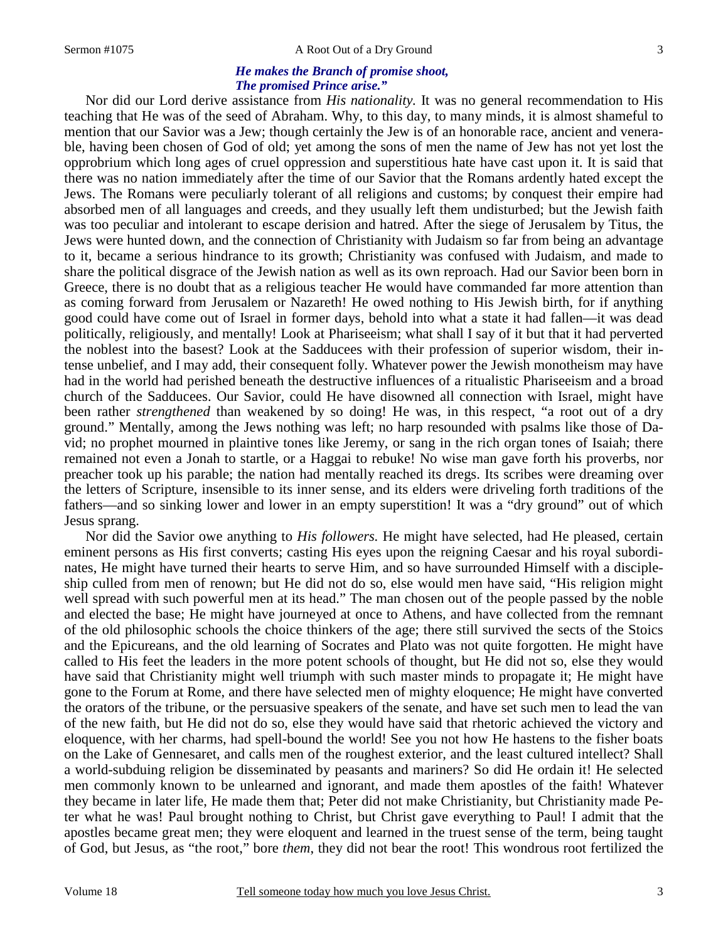#### Sermon #1075 A Root Out of a Dry Ground

### *He makes the Branch of promise shoot, The promised Prince arise."*

 Nor did our Lord derive assistance from *His nationality.* It was no general recommendation to His teaching that He was of the seed of Abraham. Why, to this day, to many minds, it is almost shameful to mention that our Savior was a Jew; though certainly the Jew is of an honorable race, ancient and venerable, having been chosen of God of old; yet among the sons of men the name of Jew has not yet lost the opprobrium which long ages of cruel oppression and superstitious hate have cast upon it. It is said that there was no nation immediately after the time of our Savior that the Romans ardently hated except the Jews. The Romans were peculiarly tolerant of all religions and customs; by conquest their empire had absorbed men of all languages and creeds, and they usually left them undisturbed; but the Jewish faith was too peculiar and intolerant to escape derision and hatred. After the siege of Jerusalem by Titus, the Jews were hunted down, and the connection of Christianity with Judaism so far from being an advantage to it, became a serious hindrance to its growth; Christianity was confused with Judaism, and made to share the political disgrace of the Jewish nation as well as its own reproach. Had our Savior been born in Greece, there is no doubt that as a religious teacher He would have commanded far more attention than as coming forward from Jerusalem or Nazareth! He owed nothing to His Jewish birth, for if anything good could have come out of Israel in former days, behold into what a state it had fallen—it was dead politically, religiously, and mentally! Look at Phariseeism; what shall I say of it but that it had perverted the noblest into the basest? Look at the Sadducees with their profession of superior wisdom, their intense unbelief, and I may add, their consequent folly. Whatever power the Jewish monotheism may have had in the world had perished beneath the destructive influences of a ritualistic Phariseeism and a broad church of the Sadducees. Our Savior, could He have disowned all connection with Israel, might have been rather *strengthened* than weakened by so doing! He was, in this respect, "a root out of a dry ground." Mentally, among the Jews nothing was left; no harp resounded with psalms like those of David; no prophet mourned in plaintive tones like Jeremy, or sang in the rich organ tones of Isaiah; there remained not even a Jonah to startle, or a Haggai to rebuke! No wise man gave forth his proverbs, nor preacher took up his parable; the nation had mentally reached its dregs. Its scribes were dreaming over the letters of Scripture, insensible to its inner sense, and its elders were driveling forth traditions of the fathers—and so sinking lower and lower in an empty superstition! It was a "dry ground" out of which Jesus sprang.

Nor did the Savior owe anything to *His followers.* He might have selected, had He pleased, certain eminent persons as His first converts; casting His eyes upon the reigning Caesar and his royal subordinates, He might have turned their hearts to serve Him, and so have surrounded Himself with a discipleship culled from men of renown; but He did not do so, else would men have said, "His religion might well spread with such powerful men at its head." The man chosen out of the people passed by the noble and elected the base; He might have journeyed at once to Athens, and have collected from the remnant of the old philosophic schools the choice thinkers of the age; there still survived the sects of the Stoics and the Epicureans, and the old learning of Socrates and Plato was not quite forgotten. He might have called to His feet the leaders in the more potent schools of thought, but He did not so, else they would have said that Christianity might well triumph with such master minds to propagate it; He might have gone to the Forum at Rome, and there have selected men of mighty eloquence; He might have converted the orators of the tribune, or the persuasive speakers of the senate, and have set such men to lead the van of the new faith, but He did not do so, else they would have said that rhetoric achieved the victory and eloquence, with her charms, had spell-bound the world! See you not how He hastens to the fisher boats on the Lake of Gennesaret, and calls men of the roughest exterior, and the least cultured intellect? Shall a world-subduing religion be disseminated by peasants and mariners? So did He ordain it! He selected men commonly known to be unlearned and ignorant, and made them apostles of the faith! Whatever they became in later life, He made them that; Peter did not make Christianity, but Christianity made Peter what he was! Paul brought nothing to Christ, but Christ gave everything to Paul! I admit that the apostles became great men; they were eloquent and learned in the truest sense of the term, being taught of God, but Jesus, as "the root," bore *them*, they did not bear the root! This wondrous root fertilized the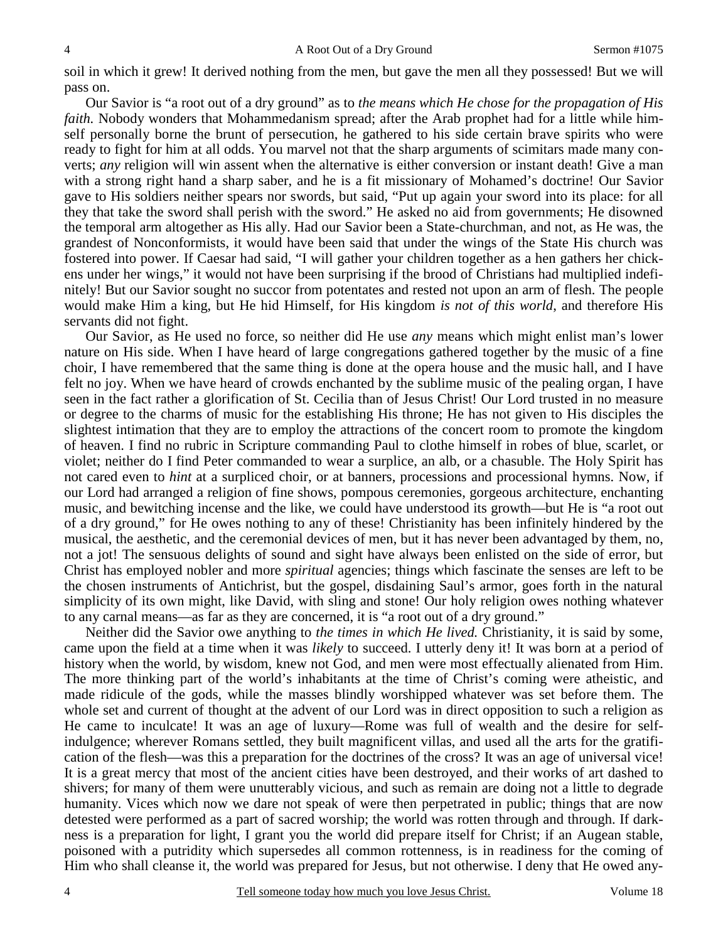soil in which it grew! It derived nothing from the men, but gave the men all they possessed! But we will pass on.

Our Savior is "a root out of a dry ground" as to *the means which He chose for the propagation of His faith.* Nobody wonders that Mohammedanism spread; after the Arab prophet had for a little while himself personally borne the brunt of persecution, he gathered to his side certain brave spirits who were ready to fight for him at all odds. You marvel not that the sharp arguments of scimitars made many converts; *any* religion will win assent when the alternative is either conversion or instant death! Give a man with a strong right hand a sharp saber, and he is a fit missionary of Mohamed's doctrine! Our Savior gave to His soldiers neither spears nor swords, but said, "Put up again your sword into its place: for all they that take the sword shall perish with the sword." He asked no aid from governments; He disowned the temporal arm altogether as His ally. Had our Savior been a State-churchman, and not, as He was, the grandest of Nonconformists, it would have been said that under the wings of the State His church was fostered into power. If Caesar had said, "I will gather your children together as a hen gathers her chickens under her wings," it would not have been surprising if the brood of Christians had multiplied indefinitely! But our Savior sought no succor from potentates and rested not upon an arm of flesh. The people would make Him a king, but He hid Himself, for His kingdom *is not of this world*, and therefore His servants did not fight.

Our Savior, as He used no force, so neither did He use *any* means which might enlist man's lower nature on His side. When I have heard of large congregations gathered together by the music of a fine choir, I have remembered that the same thing is done at the opera house and the music hall, and I have felt no joy. When we have heard of crowds enchanted by the sublime music of the pealing organ, I have seen in the fact rather a glorification of St. Cecilia than of Jesus Christ! Our Lord trusted in no measure or degree to the charms of music for the establishing His throne; He has not given to His disciples the slightest intimation that they are to employ the attractions of the concert room to promote the kingdom of heaven. I find no rubric in Scripture commanding Paul to clothe himself in robes of blue, scarlet, or violet; neither do I find Peter commanded to wear a surplice, an alb, or a chasuble. The Holy Spirit has not cared even to *hint* at a surpliced choir, or at banners, processions and processional hymns. Now, if our Lord had arranged a religion of fine shows, pompous ceremonies, gorgeous architecture, enchanting music, and bewitching incense and the like, we could have understood its growth—but He is "a root out of a dry ground," for He owes nothing to any of these! Christianity has been infinitely hindered by the musical, the aesthetic, and the ceremonial devices of men, but it has never been advantaged by them, no, not a jot! The sensuous delights of sound and sight have always been enlisted on the side of error, but Christ has employed nobler and more *spiritual* agencies; things which fascinate the senses are left to be the chosen instruments of Antichrist, but the gospel, disdaining Saul's armor, goes forth in the natural simplicity of its own might, like David, with sling and stone! Our holy religion owes nothing whatever to any carnal means—as far as they are concerned, it is "a root out of a dry ground."

Neither did the Savior owe anything to *the times in which He lived.* Christianity, it is said by some, came upon the field at a time when it was *likely* to succeed. I utterly deny it! It was born at a period of history when the world, by wisdom, knew not God, and men were most effectually alienated from Him. The more thinking part of the world's inhabitants at the time of Christ's coming were atheistic, and made ridicule of the gods, while the masses blindly worshipped whatever was set before them. The whole set and current of thought at the advent of our Lord was in direct opposition to such a religion as He came to inculcate! It was an age of luxury—Rome was full of wealth and the desire for selfindulgence; wherever Romans settled, they built magnificent villas, and used all the arts for the gratification of the flesh—was this a preparation for the doctrines of the cross? It was an age of universal vice! It is a great mercy that most of the ancient cities have been destroyed, and their works of art dashed to shivers; for many of them were unutterably vicious, and such as remain are doing not a little to degrade humanity. Vices which now we dare not speak of were then perpetrated in public; things that are now detested were performed as a part of sacred worship; the world was rotten through and through. If darkness is a preparation for light, I grant you the world did prepare itself for Christ; if an Augean stable, poisoned with a putridity which supersedes all common rottenness, is in readiness for the coming of Him who shall cleanse it, the world was prepared for Jesus, but not otherwise. I deny that He owed any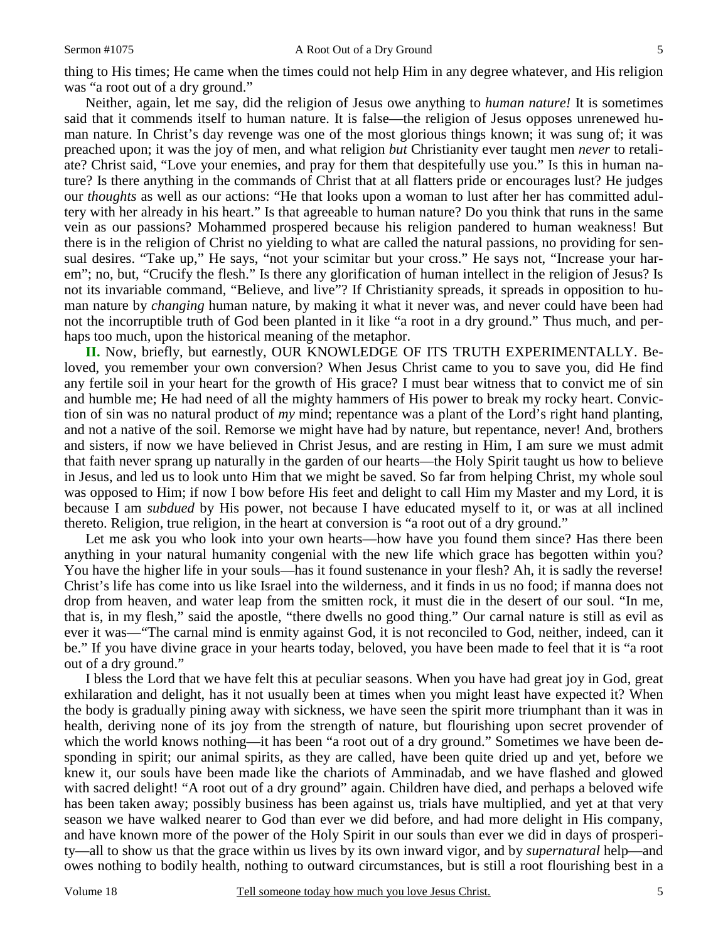thing to His times; He came when the times could not help Him in any degree whatever, and His religion was "a root out of a dry ground."

Neither, again, let me say, did the religion of Jesus owe anything to *human nature!* It is sometimes said that it commends itself to human nature. It is false—the religion of Jesus opposes unrenewed human nature. In Christ's day revenge was one of the most glorious things known; it was sung of; it was preached upon; it was the joy of men, and what religion *but* Christianity ever taught men *never* to retaliate? Christ said, "Love your enemies, and pray for them that despitefully use you." Is this in human nature? Is there anything in the commands of Christ that at all flatters pride or encourages lust? He judges our *thoughts* as well as our actions: "He that looks upon a woman to lust after her has committed adultery with her already in his heart." Is that agreeable to human nature? Do you think that runs in the same vein as our passions? Mohammed prospered because his religion pandered to human weakness! But there is in the religion of Christ no yielding to what are called the natural passions, no providing for sensual desires. "Take up," He says, "not your scimitar but your cross." He says not, "Increase your harem"; no, but, "Crucify the flesh." Is there any glorification of human intellect in the religion of Jesus? Is not its invariable command, "Believe, and live"? If Christianity spreads, it spreads in opposition to human nature by *changing* human nature, by making it what it never was, and never could have been had not the incorruptible truth of God been planted in it like "a root in a dry ground." Thus much, and perhaps too much, upon the historical meaning of the metaphor.

**II.** Now, briefly, but earnestly, OUR KNOWLEDGE OF ITS TRUTH EXPERIMENTALLY. Beloved, you remember your own conversion? When Jesus Christ came to you to save you, did He find any fertile soil in your heart for the growth of His grace? I must bear witness that to convict me of sin and humble me; He had need of all the mighty hammers of His power to break my rocky heart. Conviction of sin was no natural product of *my* mind; repentance was a plant of the Lord's right hand planting, and not a native of the soil. Remorse we might have had by nature, but repentance, never! And, brothers and sisters, if now we have believed in Christ Jesus, and are resting in Him, I am sure we must admit that faith never sprang up naturally in the garden of our hearts—the Holy Spirit taught us how to believe in Jesus, and led us to look unto Him that we might be saved. So far from helping Christ, my whole soul was opposed to Him; if now I bow before His feet and delight to call Him my Master and my Lord, it is because I am *subdued* by His power, not because I have educated myself to it, or was at all inclined thereto. Religion, true religion, in the heart at conversion is "a root out of a dry ground."

Let me ask you who look into your own hearts—how have you found them since? Has there been anything in your natural humanity congenial with the new life which grace has begotten within you? You have the higher life in your souls—has it found sustenance in your flesh? Ah, it is sadly the reverse! Christ's life has come into us like Israel into the wilderness, and it finds in us no food; if manna does not drop from heaven, and water leap from the smitten rock, it must die in the desert of our soul. "In me, that is, in my flesh," said the apostle, "there dwells no good thing." Our carnal nature is still as evil as ever it was—"The carnal mind is enmity against God, it is not reconciled to God, neither, indeed, can it be." If you have divine grace in your hearts today, beloved, you have been made to feel that it is "a root out of a dry ground."

I bless the Lord that we have felt this at peculiar seasons. When you have had great joy in God, great exhilaration and delight, has it not usually been at times when you might least have expected it? When the body is gradually pining away with sickness, we have seen the spirit more triumphant than it was in health, deriving none of its joy from the strength of nature, but flourishing upon secret provender of which the world knows nothing—it has been "a root out of a dry ground." Sometimes we have been desponding in spirit; our animal spirits, as they are called, have been quite dried up and yet, before we knew it, our souls have been made like the chariots of Amminadab, and we have flashed and glowed with sacred delight! "A root out of a dry ground" again. Children have died, and perhaps a beloved wife has been taken away; possibly business has been against us, trials have multiplied, and yet at that very season we have walked nearer to God than ever we did before, and had more delight in His company, and have known more of the power of the Holy Spirit in our souls than ever we did in days of prosperity—all to show us that the grace within us lives by its own inward vigor, and by *supernatural* help—and owes nothing to bodily health, nothing to outward circumstances, but is still a root flourishing best in a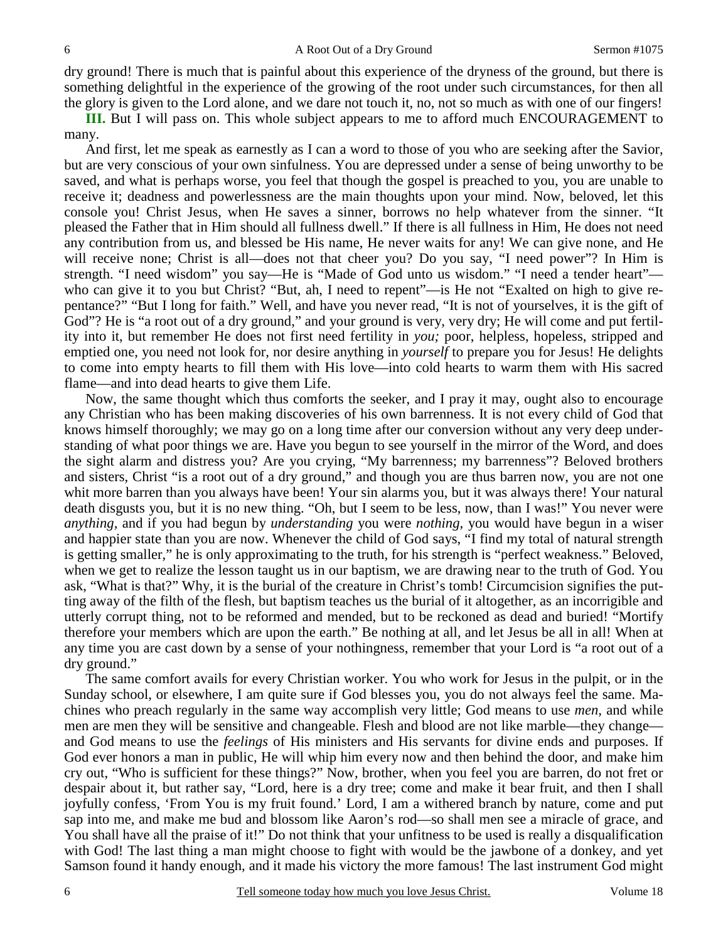dry ground! There is much that is painful about this experience of the dryness of the ground, but there is something delightful in the experience of the growing of the root under such circumstances, for then all the glory is given to the Lord alone, and we dare not touch it, no, not so much as with one of our fingers!

**III.** But I will pass on. This whole subject appears to me to afford much ENCOURAGEMENT to many.

And first, let me speak as earnestly as I can a word to those of you who are seeking after the Savior, but are very conscious of your own sinfulness. You are depressed under a sense of being unworthy to be saved, and what is perhaps worse, you feel that though the gospel is preached to you, you are unable to receive it; deadness and powerlessness are the main thoughts upon your mind. Now, beloved, let this console you! Christ Jesus, when He saves a sinner, borrows no help whatever from the sinner. "It pleased the Father that in Him should all fullness dwell." If there is all fullness in Him, He does not need any contribution from us, and blessed be His name, He never waits for any! We can give none, and He will receive none; Christ is all—does not that cheer you? Do you say, "I need power"? In Him is strength. "I need wisdom" you say—He is "Made of God unto us wisdom." "I need a tender heart" who can give it to you but Christ? "But, ah, I need to repent"—is He not "Exalted on high to give repentance?" "But I long for faith." Well, and have you never read, "It is not of yourselves, it is the gift of God"? He is "a root out of a dry ground," and your ground is very, very dry; He will come and put fertility into it, but remember He does not first need fertility in *you;* poor, helpless, hopeless, stripped and emptied one, you need not look for, nor desire anything in *yourself* to prepare you for Jesus! He delights to come into empty hearts to fill them with His love—into cold hearts to warm them with His sacred flame—and into dead hearts to give them Life.

Now, the same thought which thus comforts the seeker, and I pray it may, ought also to encourage any Christian who has been making discoveries of his own barrenness. It is not every child of God that knows himself thoroughly; we may go on a long time after our conversion without any very deep understanding of what poor things we are. Have you begun to see yourself in the mirror of the Word, and does the sight alarm and distress you? Are you crying, "My barrenness; my barrenness"? Beloved brothers and sisters, Christ "is a root out of a dry ground," and though you are thus barren now, you are not one whit more barren than you always have been! Your sin alarms you, but it was always there! Your natural death disgusts you, but it is no new thing. "Oh, but I seem to be less, now, than I was!" You never were *anything,* and if you had begun by *understanding* you were *nothing,* you would have begun in a wiser and happier state than you are now. Whenever the child of God says, "I find my total of natural strength is getting smaller," he is only approximating to the truth, for his strength is "perfect weakness." Beloved, when we get to realize the lesson taught us in our baptism, we are drawing near to the truth of God. You ask, "What is that?" Why, it is the burial of the creature in Christ's tomb! Circumcision signifies the putting away of the filth of the flesh, but baptism teaches us the burial of it altogether, as an incorrigible and utterly corrupt thing, not to be reformed and mended, but to be reckoned as dead and buried! "Mortify therefore your members which are upon the earth." Be nothing at all, and let Jesus be all in all! When at any time you are cast down by a sense of your nothingness, remember that your Lord is "a root out of a dry ground."

The same comfort avails for every Christian worker. You who work for Jesus in the pulpit, or in the Sunday school, or elsewhere, I am quite sure if God blesses you, you do not always feel the same. Machines who preach regularly in the same way accomplish very little; God means to use *men,* and while men are men they will be sensitive and changeable. Flesh and blood are not like marble—they change and God means to use the *feelings* of His ministers and His servants for divine ends and purposes. If God ever honors a man in public, He will whip him every now and then behind the door, and make him cry out, "Who is sufficient for these things?" Now, brother, when you feel you are barren, do not fret or despair about it, but rather say, "Lord, here is a dry tree; come and make it bear fruit, and then I shall joyfully confess, 'From You is my fruit found.' Lord, I am a withered branch by nature, come and put sap into me, and make me bud and blossom like Aaron's rod—so shall men see a miracle of grace, and You shall have all the praise of it!" Do not think that your unfitness to be used is really a disqualification with God! The last thing a man might choose to fight with would be the jawbone of a donkey, and yet Samson found it handy enough, and it made his victory the more famous! The last instrument God might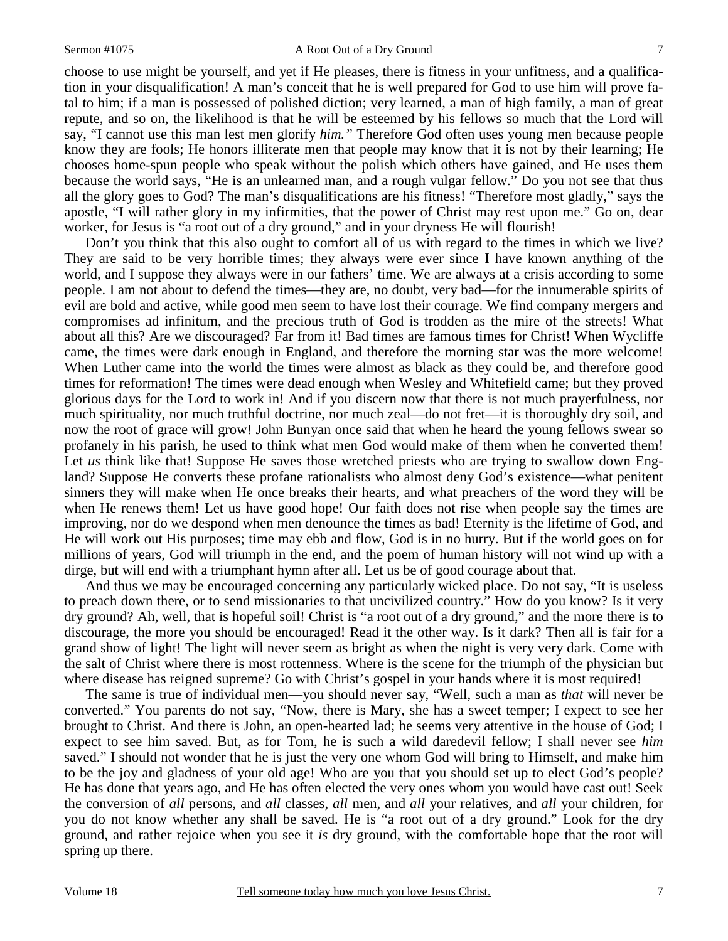choose to use might be yourself, and yet if He pleases, there is fitness in your unfitness, and a qualification in your disqualification! A man's conceit that he is well prepared for God to use him will prove fatal to him; if a man is possessed of polished diction; very learned, a man of high family, a man of great repute, and so on, the likelihood is that he will be esteemed by his fellows so much that the Lord will say, "I cannot use this man lest men glorify *him."* Therefore God often uses young men because people know they are fools; He honors illiterate men that people may know that it is not by their learning; He chooses home-spun people who speak without the polish which others have gained, and He uses them because the world says, "He is an unlearned man, and a rough vulgar fellow." Do you not see that thus all the glory goes to God? The man's disqualifications are his fitness! "Therefore most gladly," says the apostle, "I will rather glory in my infirmities, that the power of Christ may rest upon me." Go on, dear worker, for Jesus is "a root out of a dry ground," and in your dryness He will flourish!

Don't you think that this also ought to comfort all of us with regard to the times in which we live? They are said to be very horrible times; they always were ever since I have known anything of the world, and I suppose they always were in our fathers' time. We are always at a crisis according to some people. I am not about to defend the times—they are, no doubt, very bad—for the innumerable spirits of evil are bold and active, while good men seem to have lost their courage. We find company mergers and compromises ad infinitum, and the precious truth of God is trodden as the mire of the streets! What about all this? Are we discouraged? Far from it! Bad times are famous times for Christ! When Wycliffe came, the times were dark enough in England, and therefore the morning star was the more welcome! When Luther came into the world the times were almost as black as they could be, and therefore good times for reformation! The times were dead enough when Wesley and Whitefield came; but they proved glorious days for the Lord to work in! And if you discern now that there is not much prayerfulness, nor much spirituality, nor much truthful doctrine, nor much zeal—do not fret—it is thoroughly dry soil, and now the root of grace will grow! John Bunyan once said that when he heard the young fellows swear so profanely in his parish, he used to think what men God would make of them when he converted them! Let *us* think like that! Suppose He saves those wretched priests who are trying to swallow down England? Suppose He converts these profane rationalists who almost deny God's existence—what penitent sinners they will make when He once breaks their hearts, and what preachers of the word they will be when He renews them! Let us have good hope! Our faith does not rise when people say the times are improving, nor do we despond when men denounce the times as bad! Eternity is the lifetime of God, and He will work out His purposes; time may ebb and flow, God is in no hurry. But if the world goes on for millions of years, God will triumph in the end, and the poem of human history will not wind up with a dirge, but will end with a triumphant hymn after all. Let us be of good courage about that.

And thus we may be encouraged concerning any particularly wicked place. Do not say, "It is useless to preach down there, or to send missionaries to that uncivilized country." How do you know? Is it very dry ground? Ah, well, that is hopeful soil! Christ is "a root out of a dry ground," and the more there is to discourage, the more you should be encouraged! Read it the other way. Is it dark? Then all is fair for a grand show of light! The light will never seem as bright as when the night is very very dark. Come with the salt of Christ where there is most rottenness. Where is the scene for the triumph of the physician but where disease has reigned supreme? Go with Christ's gospel in your hands where it is most required!

The same is true of individual men—you should never say, "Well, such a man as *that* will never be converted." You parents do not say, "Now, there is Mary, she has a sweet temper; I expect to see her brought to Christ. And there is John, an open-hearted lad; he seems very attentive in the house of God; I expect to see him saved. But, as for Tom, he is such a wild daredevil fellow; I shall never see *him* saved." I should not wonder that he is just the very one whom God will bring to Himself, and make him to be the joy and gladness of your old age! Who are you that you should set up to elect God's people? He has done that years ago, and He has often elected the very ones whom you would have cast out! Seek the conversion of *all* persons, and *all* classes, *all* men, and *all* your relatives, and *all* your children, for you do not know whether any shall be saved. He is "a root out of a dry ground." Look for the dry ground, and rather rejoice when you see it *is* dry ground, with the comfortable hope that the root will spring up there.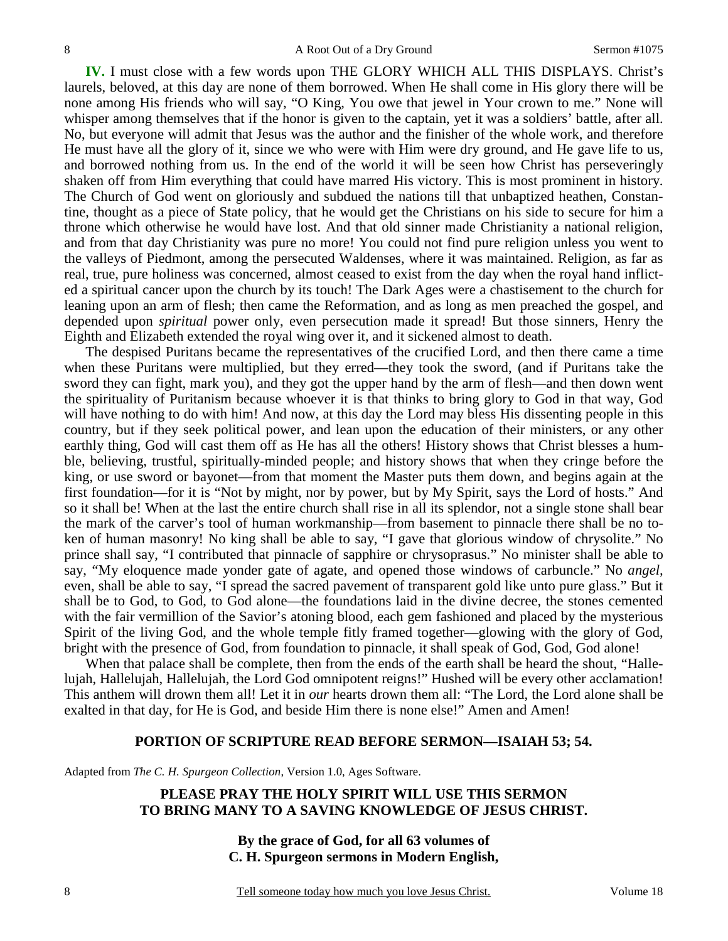**IV.** I must close with a few words upon THE GLORY WHICH ALL THIS DISPLAYS. Christ's laurels, beloved, at this day are none of them borrowed. When He shall come in His glory there will be none among His friends who will say, "O King, You owe that jewel in Your crown to me." None will whisper among themselves that if the honor is given to the captain, yet it was a soldiers' battle, after all. No, but everyone will admit that Jesus was the author and the finisher of the whole work, and therefore He must have all the glory of it, since we who were with Him were dry ground, and He gave life to us, and borrowed nothing from us. In the end of the world it will be seen how Christ has perseveringly shaken off from Him everything that could have marred His victory. This is most prominent in history. The Church of God went on gloriously and subdued the nations till that unbaptized heathen, Constantine, thought as a piece of State policy, that he would get the Christians on his side to secure for him a throne which otherwise he would have lost. And that old sinner made Christianity a national religion, and from that day Christianity was pure no more! You could not find pure religion unless you went to the valleys of Piedmont, among the persecuted Waldenses, where it was maintained. Religion, as far as real, true, pure holiness was concerned, almost ceased to exist from the day when the royal hand inflicted a spiritual cancer upon the church by its touch! The Dark Ages were a chastisement to the church for leaning upon an arm of flesh; then came the Reformation, and as long as men preached the gospel, and depended upon *spiritual* power only, even persecution made it spread! But those sinners, Henry the Eighth and Elizabeth extended the royal wing over it, and it sickened almost to death.

The despised Puritans became the representatives of the crucified Lord, and then there came a time when these Puritans were multiplied, but they erred—they took the sword, (and if Puritans take the sword they can fight, mark you), and they got the upper hand by the arm of flesh—and then down went the spirituality of Puritanism because whoever it is that thinks to bring glory to God in that way, God will have nothing to do with him! And now, at this day the Lord may bless His dissenting people in this country, but if they seek political power, and lean upon the education of their ministers, or any other earthly thing, God will cast them off as He has all the others! History shows that Christ blesses a humble, believing, trustful, spiritually-minded people; and history shows that when they cringe before the king, or use sword or bayonet—from that moment the Master puts them down, and begins again at the first foundation—for it is "Not by might, nor by power, but by My Spirit, says the Lord of hosts." And so it shall be! When at the last the entire church shall rise in all its splendor, not a single stone shall bear the mark of the carver's tool of human workmanship—from basement to pinnacle there shall be no token of human masonry! No king shall be able to say, "I gave that glorious window of chrysolite." No prince shall say, "I contributed that pinnacle of sapphire or chrysoprasus." No minister shall be able to say, "My eloquence made yonder gate of agate, and opened those windows of carbuncle." No *angel,*  even, shall be able to say, "I spread the sacred pavement of transparent gold like unto pure glass." But it shall be to God, to God, to God alone—the foundations laid in the divine decree, the stones cemented with the fair vermillion of the Savior's atoning blood, each gem fashioned and placed by the mysterious Spirit of the living God, and the whole temple fitly framed together—glowing with the glory of God, bright with the presence of God, from foundation to pinnacle, it shall speak of God, God, God alone!

When that palace shall be complete, then from the ends of the earth shall be heard the shout, "Hallelujah, Hallelujah, Hallelujah, the Lord God omnipotent reigns!" Hushed will be every other acclamation! This anthem will drown them all! Let it in *our* hearts drown them all: "The Lord, the Lord alone shall be exalted in that day, for He is God, and beside Him there is none else!" Amen and Amen!

#### **PORTION OF SCRIPTURE READ BEFORE SERMON—ISAIAH 53; 54.**

Adapted from *The C. H. Spurgeon Collection*, Version 1.0, Ages Software.

## **PLEASE PRAY THE HOLY SPIRIT WILL USE THIS SERMON TO BRING MANY TO A SAVING KNOWLEDGE OF JESUS CHRIST.**

**By the grace of God, for all 63 volumes of C. H. Spurgeon sermons in Modern English,**